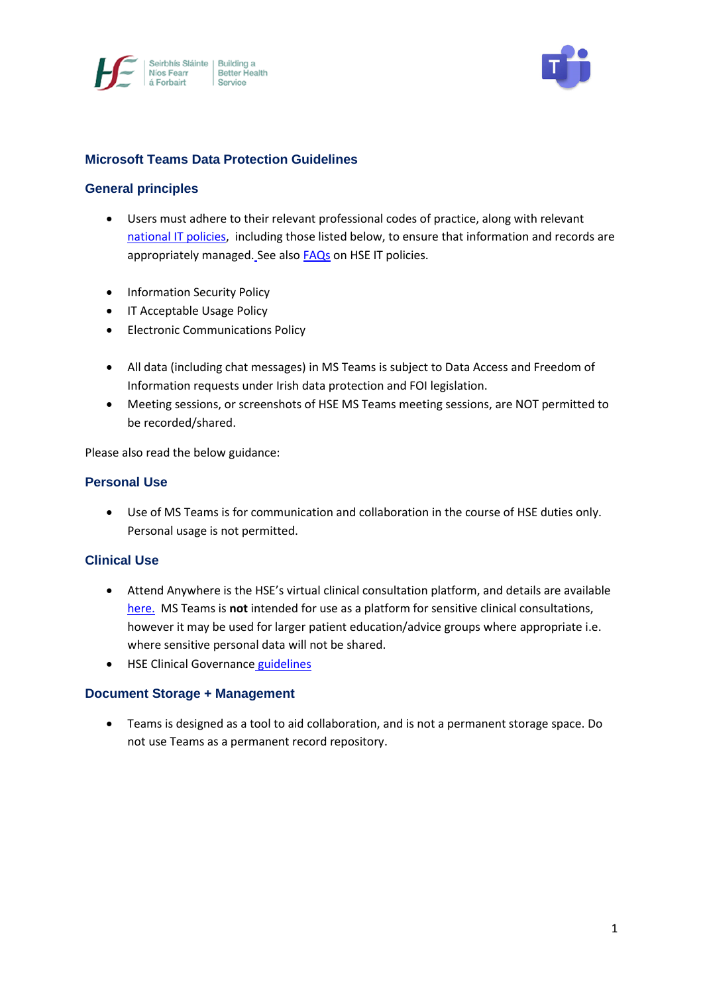



## **Microsoft Teams Data Protection Guidelines**

#### **General principles**

- Users must adhere to their relevant professional codes of practice, along with relevant [national IT policies,](https://www.hse.ie/eng/services/publications/pp/ict/) including those listed below, to ensure that information and records are appropriately managed. See als[o FAQs](http://hsenet.hse.ie/OoCIO/Service_Management/PoliciesProcedures/Policies/HSE_I_T_Policies_FAQ.pdf) on HSE IT policies.
- **•** Information Security Policy
- IT Acceptable Usage Policy
- Electronic Communications Policy
- All data (including chat messages) in MS Teams is subject to Data Access and Freedom of Information requests under Irish data protection and FOI legislation.
- Meeting sessions, or screenshots of HSE MS Teams meeting sessions, are NOT permitted to be recorded/shared.

Please also read the below guidance:

#### **Personal Use**

 Use of MS Teams is for communication and collaboration in the course of HSE duties only. Personal usage is not permitted.

#### **Clinical Use**

- Attend Anywhere is the HSE's virtual clinical consultation platform, and details are available [here.](https://healthservice.hse.ie/staff/coronavirus/working-from-home/virtual-health/attend-anywhere-healthcare-provider-video-consultations.html) MS Teams is **not** intended for use as a platform for sensitive clinical consultations, however it may be used for larger patient education/advice groups where appropriate i.e. where sensitive personal data will not be shared.
- HSE Clinical Governance [guidelines](https://healthservice.hse.ie/filelibrary/staff/clinical-telehealth-governance-guidance.pdf)

# **Document Storage + Management**

 Teams is designed as a tool to aid collaboration, and is not a permanent storage space. Do not use Teams as a permanent record repository.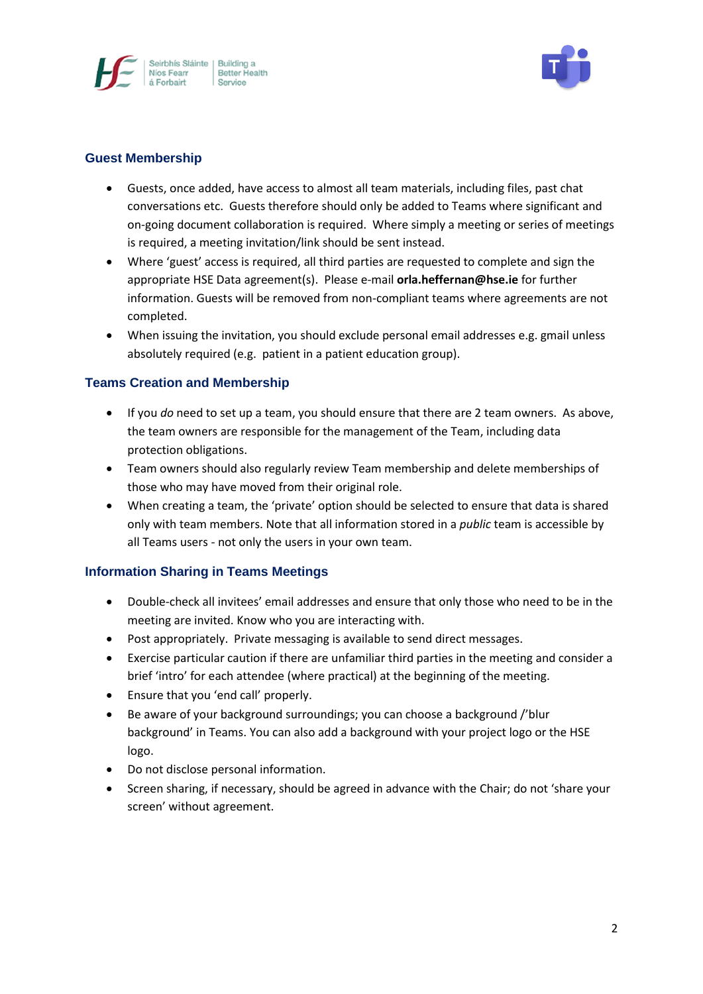



### **Guest Membership**

- Guests, once added, have access to almost all team materials, including files, past chat conversations etc. Guests therefore should only be added to Teams where significant and on-going document collaboration is required. Where simply a meeting or series of meetings is required, a meeting invitation/link should be sent instead.
- Where 'guest' access is required, all third parties are requested to complete and sign the appropriate HSE Data agreement(s). Please e-mail **orla.heffernan@hse.ie** for further information. Guests will be removed from non-compliant teams where agreements are not completed.
- When issuing the invitation, you should exclude personal email addresses e.g. gmail unless absolutely required (e.g. patient in a patient education group).

## **Teams Creation and Membership**

- If you *do* need to set up a team, you should ensure that there are 2 team owners. As above, the team owners are responsible for the management of the Team, including data protection obligations.
- Team owners should also regularly review Team membership and delete memberships of those who may have moved from their original role.
- When creating a team, the 'private' option should be selected to ensure that data is shared only with team members. Note that all information stored in a *public* team is accessible by all Teams users - not only the users in your own team.

## **Information Sharing in Teams Meetings**

- Double-check all invitees' email addresses and ensure that only those who need to be in the meeting are invited. Know who you are interacting with.
- Post appropriately. Private messaging is available to send direct messages.
- Exercise particular caution if there are unfamiliar third parties in the meeting and consider a brief 'intro' for each attendee (where practical) at the beginning of the meeting.
- Ensure that you 'end call' properly.
- Be aware of your background surroundings; you can choose a background /'blur background' in Teams. You can also add a background with your project logo or the HSE logo.
- Do not disclose personal information.
- Screen sharing, if necessary, should be agreed in advance with the Chair; do not 'share your screen' without agreement.